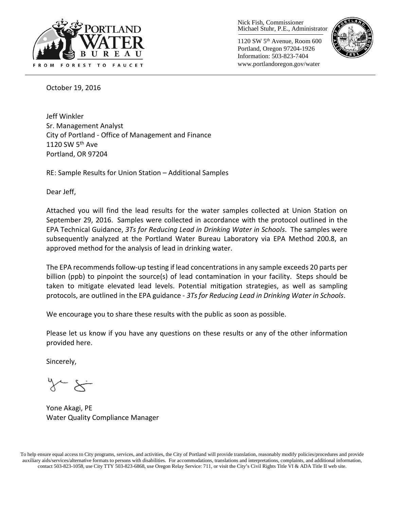

Nick Fish, Commissioner Michael Stuhr, P.E., Administrator

1120 SW 5th Avenue, Room 600 Portland, Oregon 97204-1926 Information: 503-823-7404 www.portlandoregon.gov/water



October 19, 2016

Jeff Winkler Sr. Management Analyst City of Portland - Office of Management and Finance 1120 SW  $5<sup>th</sup>$  Ave Portland, OR 97204

RE: Sample Results for Union Station – Additional Samples

Dear Jeff,

Attached you will find the lead results for the water samples collected at Union Station on September 29, 2016. Samples were collected in accordance with the protocol outlined in the EPA Technical Guidance, *3Ts for Reducing Lead in Drinking Water in Schools*. The samples were subsequently analyzed at the Portland Water Bureau Laboratory via EPA Method 200.8, an approved method for the analysis of lead in drinking water.

The EPA recommends follow-up testing if lead concentrations in any sample exceeds 20 parts per billion (ppb) to pinpoint the source(s) of lead contamination in your facility. Steps should be taken to mitigate elevated lead levels. Potential mitigation strategies, as well as sampling protocols, are outlined in the EPA guidance - *3Ts for Reducing Lead in Drinking Water in Schools*.

We encourage you to share these results with the public as soon as possible.

Please let us know if you have any questions on these results or any of the other information provided here.

Sincerely,

Yone Akagi, PE Water Quality Compliance Manager

To help ensure equal access to City programs, services, and activities, the City of Portland will provide translation, reasonably modify policies/procedures and provide auxiliary aids/services/alternative formats to persons with disabilities. For accommodations, translations and interpretations, complaints, and additional information, contact 503-823-1058, use City TTY 503-823-6868, use Oregon Relay Service: 711, or visi[t the City's Civil Rights Title VI & ADA Title II web site.](http://www.portlandoregon.gov/oehr/66458)